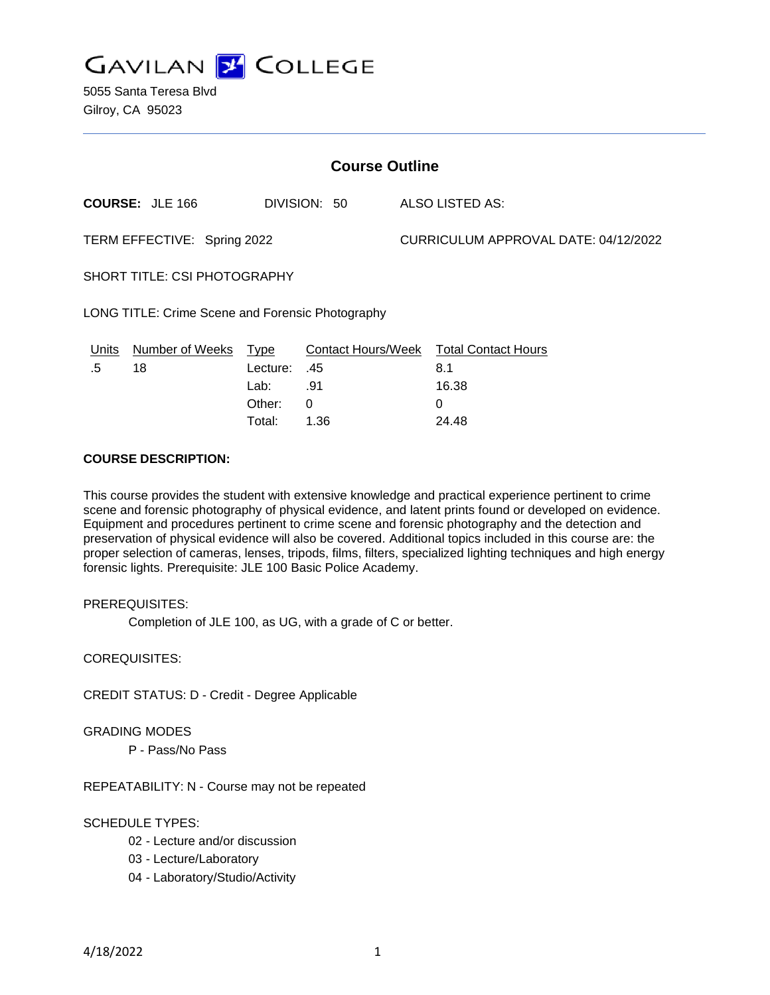

| <b>Course Outline</b>                            |                                        |          |          |                                      |                                        |
|--------------------------------------------------|----------------------------------------|----------|----------|--------------------------------------|----------------------------------------|
|                                                  | <b>COURSE: JLE 166</b><br>DIVISION: 50 |          |          | ALSO LISTED AS:                      |                                        |
| TERM EFFECTIVE: Spring 2022                      |                                        |          |          | CURRICULUM APPROVAL DATE: 04/12/2022 |                                        |
| <b>SHORT TITLE: CSI PHOTOGRAPHY</b>              |                                        |          |          |                                      |                                        |
| LONG TITLE: Crime Scene and Forensic Photography |                                        |          |          |                                      |                                        |
| <u>Units</u>                                     | Number of Weeks                        | Type     |          |                                      | Contact Hours/Week Total Contact Hours |
| .5                                               | 18                                     | Lecture: | .45      |                                      | 8.1                                    |
|                                                  |                                        | Lab:     | .91      |                                      | 16.38                                  |
|                                                  |                                        | Other:   | $\Omega$ |                                      | 0                                      |
|                                                  |                                        | Total:   | 1.36     |                                      | 24.48                                  |

## **COURSE DESCRIPTION:**

This course provides the student with extensive knowledge and practical experience pertinent to crime scene and forensic photography of physical evidence, and latent prints found or developed on evidence. Equipment and procedures pertinent to crime scene and forensic photography and the detection and preservation of physical evidence will also be covered. Additional topics included in this course are: the proper selection of cameras, lenses, tripods, films, filters, specialized lighting techniques and high energy forensic lights. Prerequisite: JLE 100 Basic Police Academy.

### PREREQUISITES:

Completion of JLE 100, as UG, with a grade of C or better.

COREQUISITES:

CREDIT STATUS: D - Credit - Degree Applicable

#### GRADING MODES

P - Pass/No Pass

REPEATABILITY: N - Course may not be repeated

### SCHEDULE TYPES:

- 02 Lecture and/or discussion
- 03 Lecture/Laboratory
- 04 Laboratory/Studio/Activity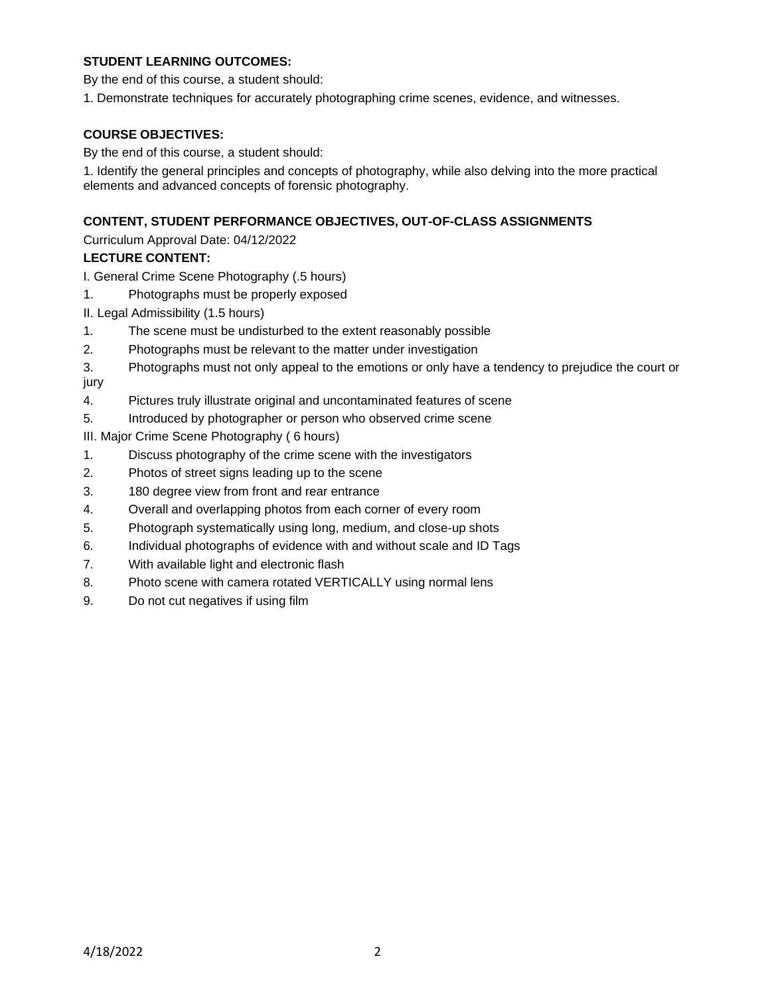## **STUDENT LEARNING OUTCOMES:**

By the end of this course, a student should:

1. Demonstrate techniques for accurately photographing crime scenes, evidence, and witnesses.

### **COURSE OBJECTIVES:**

By the end of this course, a student should:

1. Identify the general principles and concepts of photography, while also delving into the more practical elements and advanced concepts of forensic photography.

## **CONTENT, STUDENT PERFORMANCE OBJECTIVES, OUT-OF-CLASS ASSIGNMENTS**

Curriculum Approval Date: 04/12/2022

## **LECTURE CONTENT:**

I. General Crime Scene Photography (.5 hours)

1. Photographs must be properly exposed

II. Legal Admissibility (1.5 hours)

- 1. The scene must be undisturbed to the extent reasonably possible
- 2. Photographs must be relevant to the matter under investigation
- 3. Photographs must not only appeal to the emotions or only have a tendency to prejudice the court or jury
- 4. Pictures truly illustrate original and uncontaminated features of scene
- 5. Introduced by photographer or person who observed crime scene

III. Major Crime Scene Photography ( 6 hours)

- 1. Discuss photography of the crime scene with the investigators
- 2. Photos of street signs leading up to the scene
- 3. 180 degree view from front and rear entrance
- 4. Overall and overlapping photos from each corner of every room
- 5. Photograph systematically using long, medium, and close-up shots
- 6. Individual photographs of evidence with and without scale and ID Tags
- 7. With available light and electronic flash
- 8. Photo scene with camera rotated VERTICALLY using normal lens
- 9. Do not cut negatives if using film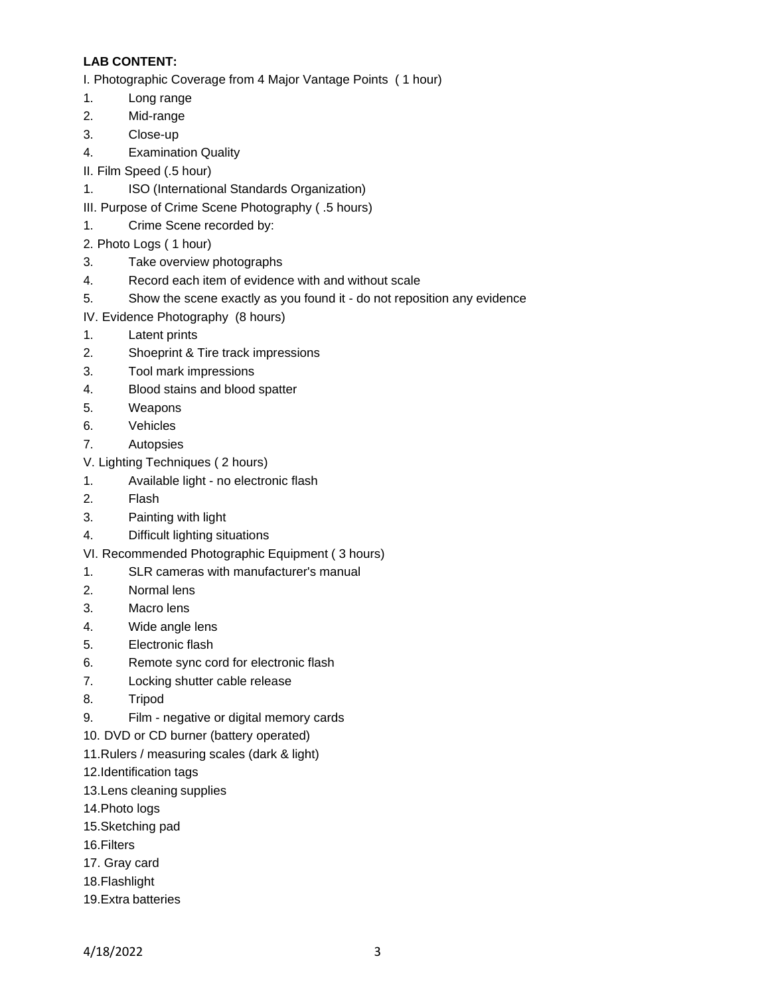# **LAB CONTENT:**

I. Photographic Coverage from 4 Major Vantage Points ( 1 hour)

- 1. Long range
- 2. Mid-range
- 3. Close-up
- 4. Examination Quality
- II. Film Speed (.5 hour)
- 1. ISO (International Standards Organization)
- III. Purpose of Crime Scene Photography ( .5 hours)
- 1. Crime Scene recorded by:
- 2. Photo Logs ( 1 hour)
- 3. Take overview photographs
- 4. Record each item of evidence with and without scale
- 5. Show the scene exactly as you found it do not reposition any evidence
- IV. Evidence Photography (8 hours)
- 1. Latent prints
- 2. Shoeprint & Tire track impressions
- 3. Tool mark impressions
- 4. Blood stains and blood spatter
- 5. Weapons
- 6. Vehicles
- 7. Autopsies
- V. Lighting Techniques ( 2 hours)
- 1. Available light no electronic flash
- 2. Flash
- 3. Painting with light
- 4. Difficult lighting situations
- VI. Recommended Photographic Equipment ( 3 hours)
- 1. SLR cameras with manufacturer's manual
- 2. Normal lens
- 3. Macro lens
- 4. Wide angle lens
- 5. Electronic flash
- 6. Remote sync cord for electronic flash
- 7. Locking shutter cable release
- 8. Tripod
- 9. Film negative or digital memory cards
- 10. DVD or CD burner (battery operated)
- 11.Rulers / measuring scales (dark & light)
- 12.Identification tags
- 13.Lens cleaning supplies
- 14.Photo logs
- 15.Sketching pad
- 16.Filters
- 17. Gray card
- 18.Flashlight
- 19.Extra batteries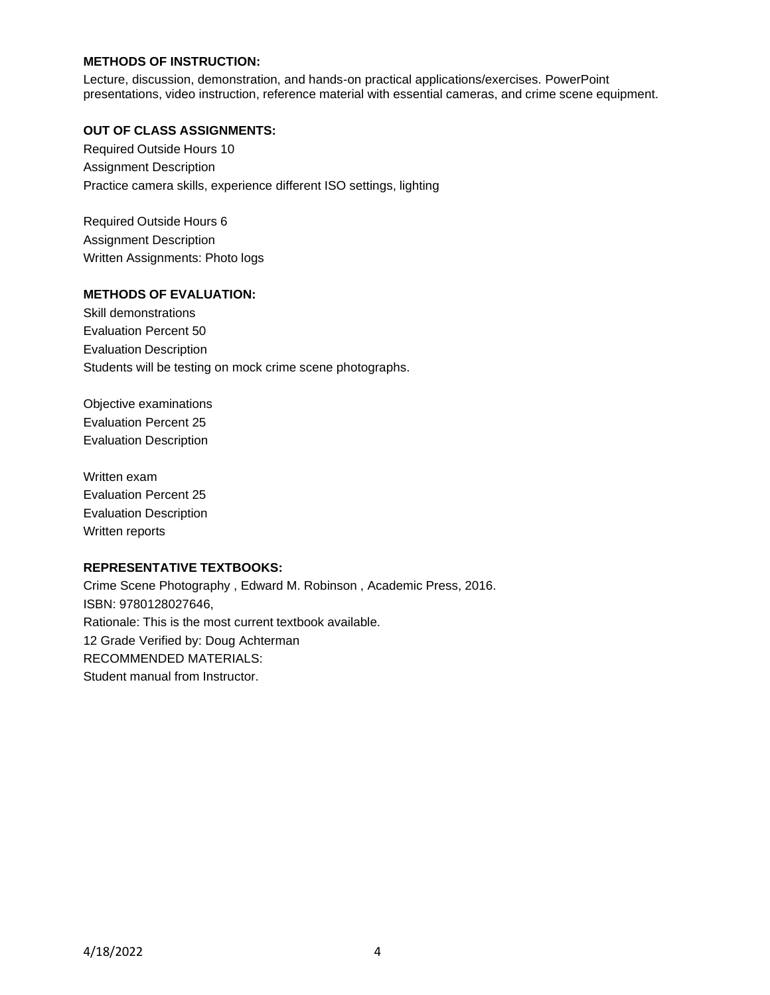### **METHODS OF INSTRUCTION:**

Lecture, discussion, demonstration, and hands-on practical applications/exercises. PowerPoint presentations, video instruction, reference material with essential cameras, and crime scene equipment.

#### **OUT OF CLASS ASSIGNMENTS:**

Required Outside Hours 10 Assignment Description Practice camera skills, experience different ISO settings, lighting

Required Outside Hours 6 Assignment Description Written Assignments: Photo logs

### **METHODS OF EVALUATION:**

Skill demonstrations Evaluation Percent 50 Evaluation Description Students will be testing on mock crime scene photographs.

Objective examinations Evaluation Percent 25 Evaluation Description

Written exam Evaluation Percent 25 Evaluation Description Written reports

#### **REPRESENTATIVE TEXTBOOKS:**

Crime Scene Photography , Edward M. Robinson , Academic Press, 2016. ISBN: 9780128027646, Rationale: This is the most current textbook available. 12 Grade Verified by: Doug Achterman RECOMMENDED MATERIALS: Student manual from Instructor.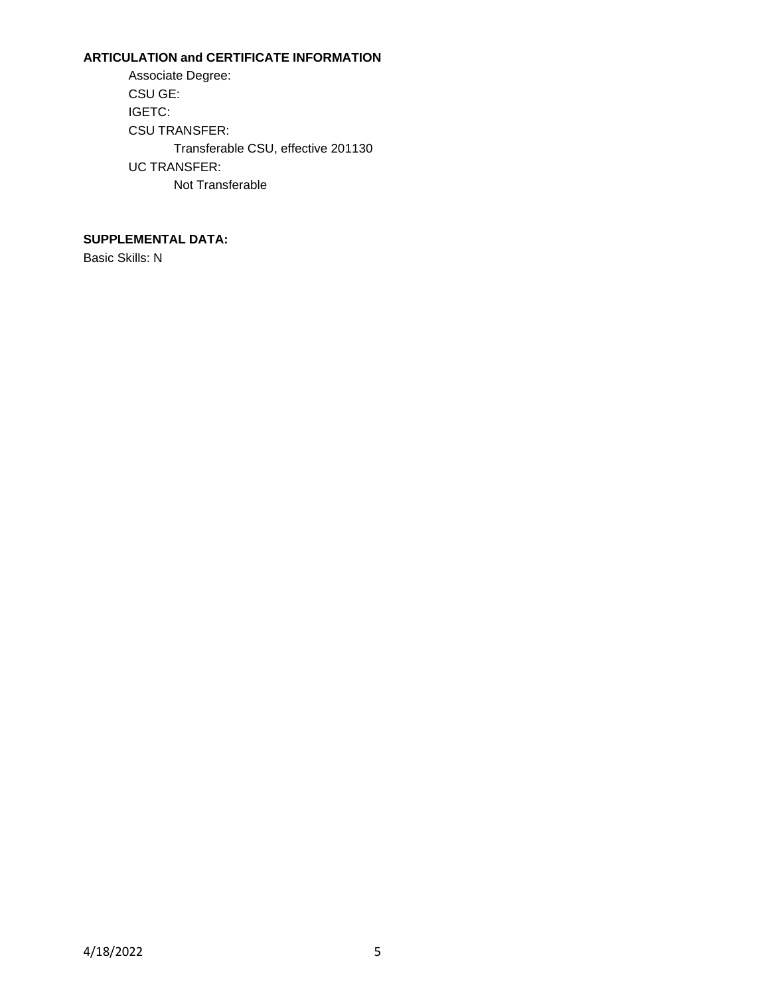# **ARTICULATION and CERTIFICATE INFORMATION**

Associate Degree: CSU GE: IGETC: CSU TRANSFER: Transferable CSU, effective 201130 UC TRANSFER: Not Transferable

# **SUPPLEMENTAL DATA:**

Basic Skills: N